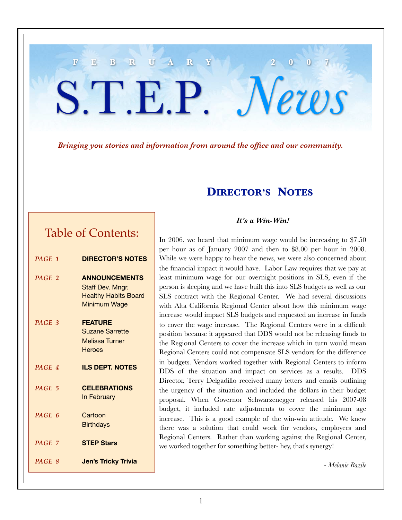### *Bringing you stories and information from around the office and our community.*

**F E B R U A R Y 2 0 0 7**

S.T.E.P. *News*

### **DIRECTOR'S NOTES**

### *It's a Win-Win!*

### Table of Contents:

| PAGE 1 | <b>DIRECTOR'S NOTES</b>                                                                 |
|--------|-----------------------------------------------------------------------------------------|
| PAGE 2 | <b>ANNOUNCEMENTS</b><br>Staff Dev. Mngr.<br><b>Healthy Habits Board</b><br>Minimum Wage |
| PAGE 3 | <b>FEATURE</b><br><b>Suzane Sarrette</b><br><b>Melissa Turner</b><br><b>Heroes</b>      |
| PAGE 4 | <b>ILS DEPT. NOTES</b>                                                                  |
| PAGE 5 | <b>CELEBRATIONS</b><br>In February                                                      |
| PAGE 6 | Cartoon<br><b>Birthdays</b>                                                             |
| PAGE 7 | <b>STEP Stars</b>                                                                       |
| PAGE 8 | <b>Jen's Tricky Trivia</b>                                                              |
|        |                                                                                         |

In 2006, we heard that minimum wage would be increasing to \$7.50 per hour as of January 2007 and then to \$8.00 per hour in 2008. While we were happy to hear the news, we were also concerned about the financial impact it would have. Labor Law requires that we pay at least minimum wage for our overnight positions in SLS, even if the person is sleeping and we have built this into SLS budgets as well as our SLS contract with the Regional Center. We had several discussions with Alta California Regional Center about how this minimum wage increase would impact SLS budgets and requested an increase in funds to cover the wage increase. The Regional Centers were in a difficult position because it appeared that DDS would not be releasing funds to the Regional Centers to cover the increase which in turn would mean Regional Centers could not compensate SLS vendors for the difference in budgets. Vendors worked together with Regional Centers to inform DDS of the situation and impact on services as a results. DDS Director, Terry Delgadillo received many letters and emails outlining the urgency of the situation and included the dollars in their budget proposal. When Governor Schwarzenegger released his 2007-08 budget, it included rate adjustments to cover the minimum age increase. This is a good example of the win-win attitude. We knew there was a solution that could work for vendors, employees and Regional Centers. Rather than working against the Regional Center, we worked together for something better- hey, that's synergy!

*- Melanie Bazile*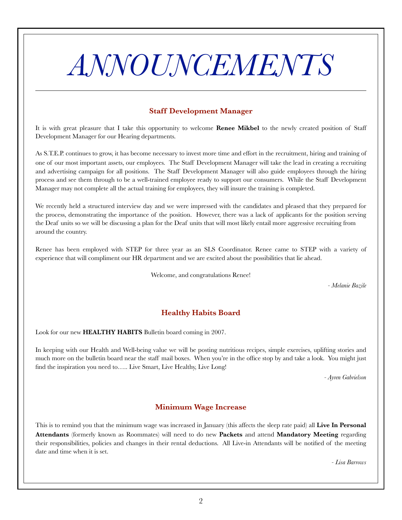## *ANNOUNCEMENTS*

### **Staff Development Manager**

It is with great pleasure that I take this opportunity to welcome **Renee Mikbel** to the newly created position of Staff Development Manager for our Hearing departments.

As S.T.E.P. continues to grow, it has become necessary to invest more time and effort in the recruitment, hiring and training of one of our most important assets, our employees. The Staff Development Manager will take the lead in creating a recruiting and advertising campaign for all positions. The Staff Development Manager will also guide employees through the hiring process and see them through to be a well-trained employee ready to support our consumers. While the Staff Development Manager may not complete all the actual training for employees, they will insure the training is completed.

We recently held a structured interview day and we were impressed with the candidates and pleased that they prepared for the process, demonstrating the importance of the position. However, there was a lack of applicants for the position serving the Deaf units so we will be discussing a plan for the Deaf units that will most likely entail more aggressive recruiting from around the country.

Renee has been employed with STEP for three year as an SLS Coordinator. Renee came to STEP with a variety of experience that will compliment our HR department and we are excited about the possibilities that lie ahead.

Welcome, and congratulations Renee!

*- Melanie Bazile*

### **Healthy Habits Board**

Look for our new **HEALTHY HABITS** Bulletin board coming in 2007.

In keeping with our Health and Well-being value we will be posting nutritious recipes, simple exercises, uplifting stories and much more on the bulletin board near the staff mail boxes. When you're in the office stop by and take a look. You might just find the inspiration you need to….. Live Smart, Live Healthy, Live Long!

*- Ayren Gabrielson*

### **Minimum Wage Increase**

This is to remind you that the minimum wage was increased in January (this affects the sleep rate paid) all **Live In Personal Attendants** (formerly known as Roommates) will need to do new **Packets** and attend **Mandatory Meeting** regarding their responsibilities, policies and changes in their rental deductions. All Live-in Attendants will be notified of the meeting date and time when it is set.

*- Lisa Barrows*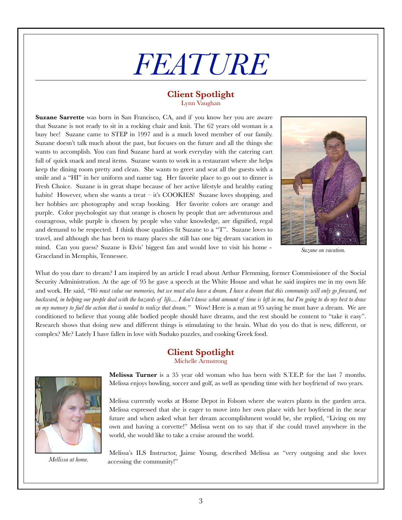## *FEATURE*

#### **Client Spotlight** Lynn Vaughan

**Suzane Sarrette** was born in San Francisco, CA, and if you know her you are aware that Suzane is not ready to sit in a rocking chair and knit. The 62 years old woman is a busy bee! Suzane came to STEP in 1997 and is a much loved member of our family. Suzane doesn't talk much about the past, but focuses on the future and all the things she wants to accomplish. You can find Suzane hard at work everyday with the catering cart full of quick snack and meal items. Suzane wants to work in a restaurant where she helps keep the dining room pretty and clean. She wants to greet and seat all the guests with a smile and a "HI" in her uniform and name tag. Her favorite place to go out to dinner is Fresh Choice. Suzane is in great shape because of her active lifestyle and healthy eating habits! However, when she wants a treat – it's COOKIES! Suzane loves shopping, and her hobbies are photography and scrap booking. Her favorite colors are orange and purple. Color psychologist say that orange is chosen by people that are adventurous and courageous, while purple is chosen by people who value knowledge, are dignified, regal and demand to be respected. I think those qualities fit Suzane to a "T". Suzane loves to travel, and although she has been to many places she still has one big dream vacation in mind. Can you guess? Suzane is Elvis' biggest fan and would love to visit his home - Graceland in Memphis, Tennessee.



*Suzane on vacation.*

What do you dare to dream? I am inspired by an article I read about Arthur Flemming, former Commissioner of the Social Security Administration. At the age of 95 he gave a speech at the White House and what he said inspires me in my own life and work. He said, "We must value our memories, but we must also have a dream. I have a dream that this community will only go forward, not backward, in helping our people deal with the hazards of life... I don't know what amount of time is left in me, but I'm going to do my best to draw on my memory to fuel the action that is needed to realize that dream." Wow! Here is a man at 95 saying he must have a dream. We are conditioned to believe that young able bodied people should have dreams, and the rest should be content to "take it easy". Research shows that doing new and different things is stimulating to the brain. What do you do that is new, different, or complex? Me? Lately I have fallen in love with Suduko puzzles, and cooking Greek food.

### **Client Spotlight**

Michelle Armstrong



*Mellissa at home.*

**Melissa Turner** is a 35 year old woman who has been with S.T.E.P. for the last 7 months. Melissa enjoys bowling, soccer and golf, as well as spending time with her boyfriend of two years.

Melissa currently works at Home Depot in Folsom where she waters plants in the garden area. Melissa expressed that she is eager to move into her own place with her boyfriend in the near future and when asked what her dream accomplishment would be, she replied, "Living on my own and having a corvette!" Melissa went on to say that if she could travel anywhere in the world, she would like to take a cruise around the world.

Melissa's ILS Instructor, Jaime Young, described Melissa as "very outgoing and she loves accessing the community!"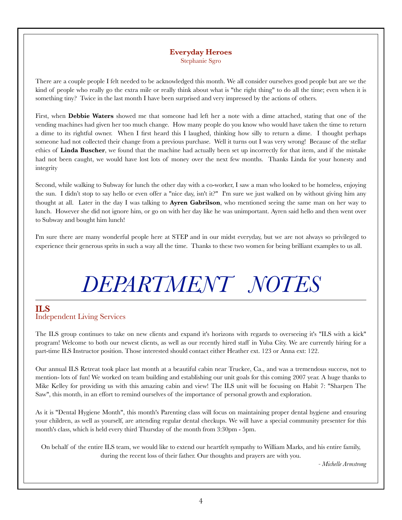#### **Everyday Heroes** Stephanie Sgro

There are a couple people I felt needed to be acknowledged this month. We all consider ourselves good people but are we the kind of people who really go the extra mile or really think about what is "the right thing" to do all the time; even when it is something tiny? Twice in the last month I have been surprised and very impressed by the actions of others.

First, when **Debbie Waters** showed me that someone had left her a note with a dime attached, stating that one of the vending machines had given her too much change. How many people do you know who would have taken the time to return a dime to its rightful owner. When I first heard this I laughed, thinking how silly to return a dime. I thought perhaps someone had not collected their change from a previous purchase. Well it turns out I was very wrong! Because of the stellar ethics of **Linda Buscher**, we found that the machine had actually been set up incorrectly for that item, and if the mistake had not been caught, we would have lost lots of money over the next few months. Thanks Linda for your honesty and integrity

Second, while walking to Subway for lunch the other day with a co-worker, I saw a man who looked to be homeless, enjoying the sun. I didn't stop to say hello or even offer a "nice day, isn't it?" I'm sure we just walked on by without giving him any thought at all. Later in the day I was talking to **Ayren Gabrilson**, who mentioned seeing the same man on her way to lunch. However she did not ignore him, or go on with her day like he was unimportant. Ayren said hello and then went over to Subway and bought him lunch!

I'm sure there are many wonderful people here at STEP and in our midst everyday, but we are not always so privileged to experience their generous sprits in such a way all the time. Thanks to these two women for being brilliant examples to us all.

### *DEPARTMENT NOTES*

### **ILS** Independent Living Services

The ILS group continues to take on new clients and expand it's horizons with regards to overseeing it's "ILS with a kick" program! Welcome to both our newest clients, as well as our recently hired staff in Yuba City. We are currently hiring for a part-time ILS Instructor position. Those interested should contact either Heather ext. 123 or Anna ext: 122.

Our annual ILS Retreat took place last month at a beautiful cabin near Truckee, Ca., and was a tremendous success, not to mention- lots of fun! We worked on team building and establishing our unit goals for this coming 2007 year. A huge thanks to Mike Kelley for providing us with this amazing cabin and view! The ILS unit will be focusing on Habit 7: "Sharpen The Saw", this month, in an effort to remind ourselves of the importance of personal growth and exploration.

As it is "Dental Hygiene Month", this month's Parenting class will focus on maintaining proper dental hygiene and ensuring your children, as well as yourself, are attending regular dental checkups. We will have a special community presenter for this month's class, which is held every third Thursday of the month from 3:30pm - 5pm.

On behalf of the entire ILS team, we would like to extend our heartfelt sympathy to William Marks, and his entire family, during the recent loss of their father. Our thoughts and prayers are with you.

*- Michelle Armstrong*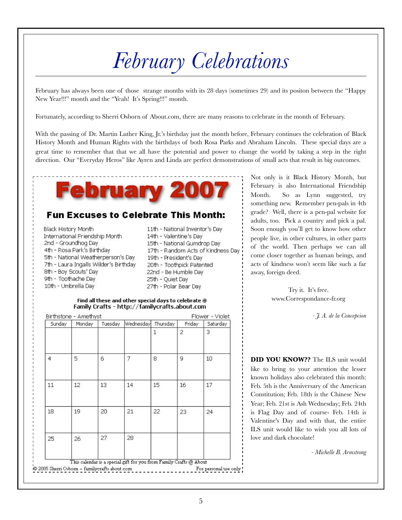## *February Celebrations*

February has always been one of those strange months with its 28 days (sometimes 29) and its positon between the "Happy New Year!!!" month and the "Yeah! It's Spring!!!" month.

Fortunately, according to Sherri Osborn of About.com, there are many reasons to celebrate in the month of February.

With the passing of Dr. Martin Luther King, Jr.'s birthday just the month before, February continues the celebration of Black History Month and Human Rights with the birthdays of both Rosa Parks and Abraham Lincoln. These special days are a great time to remember that that we all have the potential and power to change the world by taking a step in the right direction. Our "Everyday Heros" like Ayren and Linda are perfect demonstrations of small acts that result in big outcomes.



### **Fun Excuses to Celebrate This Month:**

| Black History Month                   |  |
|---------------------------------------|--|
| International Friendship Month        |  |
| 2nd - Groundhog Day                   |  |
| 4th - Rosa Park's Birthday            |  |
| 5th - National Weatherperson's Day    |  |
| 7th - Laura Ingalls Wilder's Birthday |  |
| 8th - Boy Scouts' Day                 |  |
| 9th - Toothache Day                   |  |
| 10th - Umbrella Day                   |  |
|                                       |  |

 $\circ$ 

11th - National Inventor's Dav 14th - Valentine's Dav 15th - National Gumdrop Day 17th - Random Acts of Kindness Day 19th - President's Day 20th - Toothpick Patented 22nd - Be Humble Day 25th - Quiet Day 27th - Polar Bear Day

#### Find all these and other special days to celebrate @ Family Crafts - http://familycrafts.about.com

| Sunday | Monday | Tuesday | Wednesday | Thursday     | Friday         | Saturday |
|--------|--------|---------|-----------|--------------|----------------|----------|
|        |        |         |           | $\mathbf{1}$ | $\overline{c}$ | 3        |
| 4      | 5      | 6       | 7         | 8            | 9              | 10       |
| 11     | 12     | 13      | 14        | 15           | 16             | 17       |
| 18     | 19     | 20      | 21        | 22           | 23             | 24       |
| 25     | 26     | 27      | 28        |              |                |          |

Not only is it Black History Month, but February is also International Friendship Month. So as Lynn suggested, try something new. Remember pen-pals in 4th grade? Well, there is a pen-pal website for adults, too. Pick a country and pick a pal. Soon enough you'll get to know how other people live, in other cultures, in other parts of the world. Then perhaps we can all come closer together as human beings, and acts of kindness won't seem like such a far away, foreign deed.

> Try it. It's free. www.Correspondance-fr.org

> > *- J. A. de la Concepcion*

**DID YOU KNOW??** The ILS unit would like to bring to your attention the lesser known holidays also celebrated this month: Feb. 5th is the Anniversary of the American Constitution; Feb. 18th is the Chinese New Year; Feb. 21st is Ash Wednesday; Feb. 24th is Flag Day and of course- Feb. 14th is Valentine's Day and with that, the entire ILS unit would like to wish you all lots of love and dark chocolate!

*- Michelle B. Armstrong*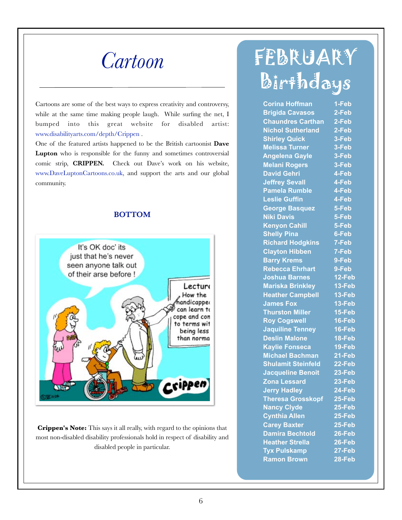

Cartoons are some of the best ways to express creativity and controversy, while at the same time making people laugh. While surfing the net, I bumped into this great website for disabled artist: www.disabilityarts.com/depth/Crippen .

One of the featured artists happened to be the British cartoonist **Dave Lupton** who is responsible for the funny and sometimes controversial comic strip, **CRIPPEN.** Check out Dave's work on his website, www.DaveLuptonCartoons.co.uk, and support the arts and our global community.

### **BOTTOM**



**Crippen's Note:** This says it all really, with regard to the opinions that most non-disabled disability professionals hold in respect of disability and disabled people in particular.

### FEBRUARY Birthdays

**Corina Hoffman 1-Feb Brigida Cavasos 2-Feb Chaundres Carthan 2-Feb Nichol Sutherland 2-Feb Shirley Quick 3-Feb Melissa Turner 3-Feb Angelena Gayle 3-Feb Melani Rogers 3-Feb David Gehri 4-Feb Jeffrey Sevall 4-Feb Pamela Rumble 4-Feb Leslie Guffin 4-Feb George Basquez 5-Feb Niki Davis 5-Feb Kenyon Cahill 5-Feb Shelly Pina** 6-Feb **Richard Hodgkins 7-Feb Clayton Hibben 7-Feb Barry Krems** 9-Feb **Rebecca Ehrhart 9-Feb Joshua Barnes 12-Feb Mariska Brinkley 13-Feb Heather Campbell 13-Feb James Fox 13-Feb Thurston Miller 15-Feb Roy Cogswell 16-Feb Jaquiline Tenney 16-Feb Deslin Malone 18-Feb Kaylie Fonseca 19-Feb Michael Bachman 21-Feb Shulamit Steinfeld 22-Feb Jacqueline Benoit 23-Feb Zona Lessard 23-Feb Jerry Hadley 24-Feb Theresa Grosskopf 25-Feb Nancy Clyde 25-Feb Cynthia Allen 25-Feb Carey Baxter 25-Feb Damira Bechtold 26-Feb Heather Strella 26-Feb Tyx Pulskamp 27-Feb Ramon Brown 28-Feb**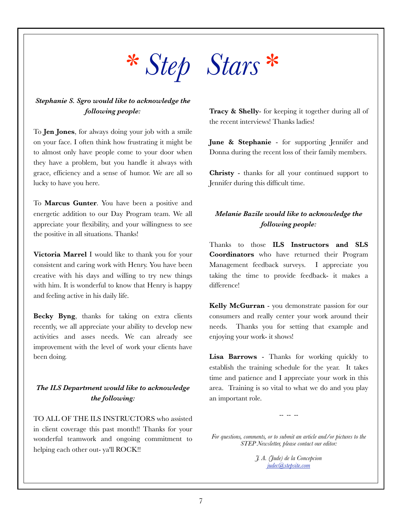# *\* Step Stars* \*

### *Stephanie S. Sgro would like to acknowledge the following people:*

To **Jen Jones**, for always doing your job with a smile on your face. I often think how frustrating it might be to almost only have people come to your door when they have a problem, but you handle it always with grace, efficiency and a sense of humor. We are all so lucky to have you here.

To **Marcus Gunter**. You have been a positive and energetic addition to our Day Program team. We all appreciate your flexibility, and your willingness to see the positive in all situations. Thanks!

**Victoria Marrel** I would like to thank you for your consistent and caring work with Henry. You have been creative with his days and willing to try new things with him. It is wonderful to know that Henry is happy and feeling active in his daily life.

**Becky Byng**, thanks for taking on extra clients recently, we all appreciate your ability to develop new activities and asses needs. We can already see improvement with the level of work your clients have been doing.

### *The ILS Department would like to acknowledge the following:*

TO ALL OF THE ILS INSTRUCTORS who assisted in client coverage this past month!! Thanks for your wonderful teamwork and ongoing commitment to helping each other out- ya'll ROCK!!

**Tracy & Shelly**- for keeping it together during all of the recent interviews! Thanks ladies!

**June & Stephanie** - for supporting Jennifer and Donna during the recent loss of their family members.

**Christy** - thanks for all your continued support to Jennifer during this difficult time.

### *Melanie Bazile would like to acknowledge the following people:*

Thanks to those **ILS Instructors and SLS Coordinators** who have returned their Program Management feedback surveys. I appreciate you taking the time to provide feedback- it makes a difference!

**Kelly McGurran** - you demonstrate passion for our consumers and really center your work around their needs. Thanks you for setting that example and enjoying your work- it shows!

**Lisa Barrows** - Thanks for working quickly to establish the training schedule for the year. It takes time and patience and I appreciate your work in this area. Training is so vital to what we do and you play an important role.

-- -- --

*For questions, comments, or to submit an article and/or pictures to the STEP Newsletter, please contact our editor:*

> *J. A. (Jude) de la Concepcion judec@stepsite.com*